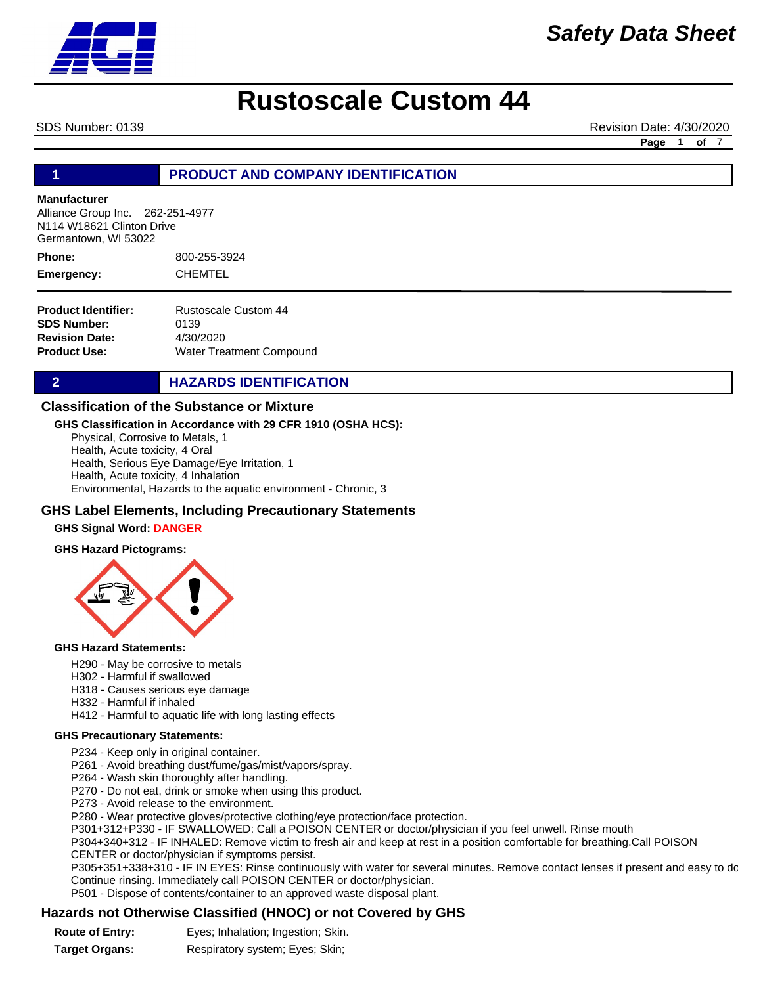

# *Safety Data Sheet*

# **Rustoscale Custom 44**

SDS Number: 0139 Revision Date: 4/30/2020

**Page** 1 **of** 7

### **1 PRODUCT AND COMPANY IDENTIFICATION**

#### **Manufacturer**

Alliance Group Inc. 262-251-4977 N114 W18621 Clinton Drive Germantown, WI 53022

800-255-3924 CHEMTEL **Phone: Emergency:**

| Rustoscale Custom 44            |
|---------------------------------|
| 0139                            |
| 4/30/2020                       |
| <b>Water Treatment Compound</b> |
|                                 |

# **2 HAZARDS IDENTIFICATION**

# **Classification of the Substance or Mixture**

### **GHS Classification in Accordance with 29 CFR 1910 (OSHA HCS):**

Physical, Corrosive to Metals, 1 Health, Acute toxicity, 4 Oral Health, Serious Eye Damage/Eye Irritation, 1 Health, Acute toxicity, 4 Inhalation Environmental, Hazards to the aquatic environment - Chronic, 3

### **GHS Label Elements, Including Precautionary Statements**

### **GHS Signal Word: DANGER**

#### **GHS Hazard Pictograms:**



#### **GHS Hazard Statements:**

- H290 May be corrosive to metals
- H302 Harmful if swallowed
- H318 Causes serious eye damage
- H332 Harmful if inhaled
- H412 Harmful to aquatic life with long lasting effects

#### **GHS Precautionary Statements:**

- P234 Keep only in original container.
- P261 Avoid breathing dust/fume/gas/mist/vapors/spray.
- P264 Wash skin thoroughly after handling.
- P270 Do not eat, drink or smoke when using this product.
- P273 Avoid release to the environment.
- P280 Wear protective gloves/protective clothing/eye protection/face protection.
- P301+312+P330 IF SWALLOWED: Call a POISON CENTER or doctor/physician if you feel unwell. Rinse mouth

P304+340+312 - IF INHALED: Remove victim to fresh air and keep at rest in a position comfortable for breathing.Call POISON CENTER or doctor/physician if symptoms persist.

P305+351+338+310 - IF IN EYES: Rinse continuously with water for several minutes. Remove contact lenses if present and easy to dc Continue rinsing. Immediately call POISON CENTER or doctor/physician.

P501 - Dispose of contents/container to an approved waste disposal plant.

# **Hazards not Otherwise Classified (HNOC) or not Covered by GHS**

| <b>Route of Entry:</b> | Eyes; Inhalation; Ingestion; Skin. |  |
|------------------------|------------------------------------|--|
|                        |                                    |  |

**Target Organs:** Respiratory system; Eyes; Skin;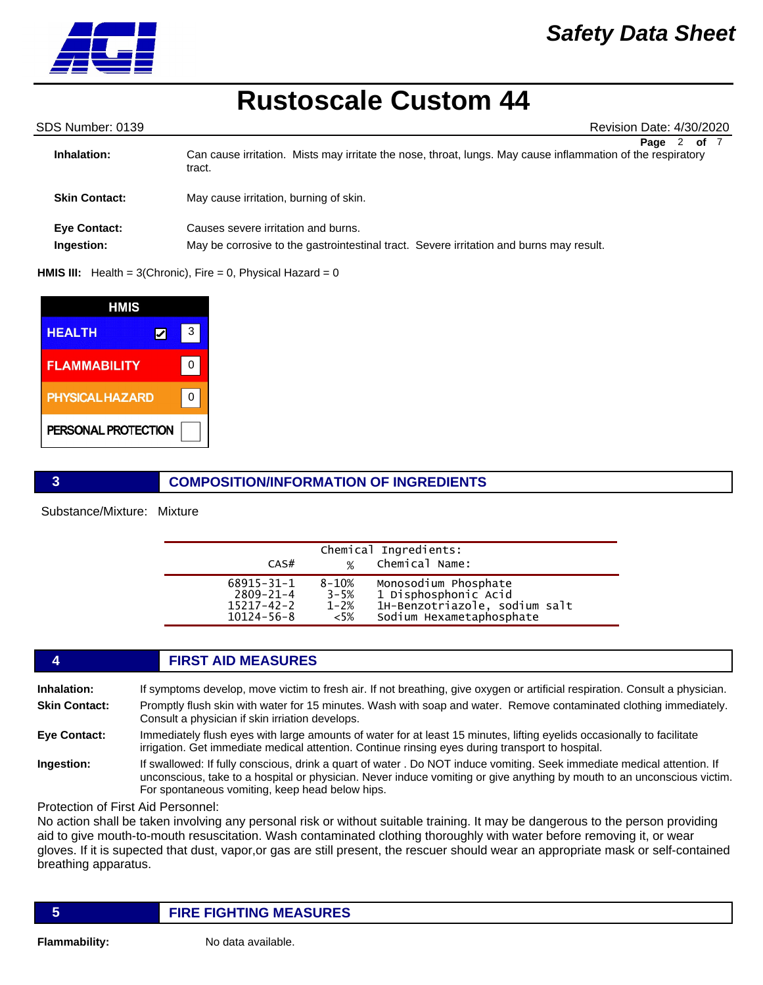

SDS Number: 0139 Revision Date: 4/30/2020

| Inhalation:                       | of 7<br>Page 2<br>Can cause irritation. Mists may irritate the nose, throat, lungs. May cause inflammation of the respiratory<br>tract. |
|-----------------------------------|-----------------------------------------------------------------------------------------------------------------------------------------|
| <b>Skin Contact:</b>              | May cause irritation, burning of skin.                                                                                                  |
| <b>Eye Contact:</b><br>Ingestion: | Causes severe irritation and burns.<br>May be corrosive to the gastrointestinal tract. Severe irritation and burns may result.          |

#### **HMIS III:** Health = 3(Chronic), Fire = 0, Physical Hazard = 0

| HMIS                   |   |  |
|------------------------|---|--|
| <b>HEALTH</b>          | З |  |
| <b>FLAMMABILITY</b>    |   |  |
| <b>PHYSICAL HAZARD</b> |   |  |
| PERSONAL PROTECTION    |   |  |

# **3 COMPOSITION/INFORMATION OF INGREDIENTS**

Substance/Mixture: Mixture

| CAS#             | $\frac{9}{6}$ | Chemical Ingredients:<br>Chemical Name: |  |
|------------------|---------------|-----------------------------------------|--|
| $68915 - 31 - 1$ | $8 - 10%$     | Monosodium Phosphate                    |  |
| $2809 - 21 - 4$  | $3 - 5%$      | 1 Disphosphonic Acid                    |  |
| 15217-42-2       | $1 - 2%$      | 1H-Benzotriazole, sodium salt           |  |
| $10124 - 56 - 8$ | $<5\%$        | Sodium Hexametaphosphate                |  |

### **4 FIRST AID MEASURES**

**Inhalation:** If symptoms develop, move victim to fresh air. If not breathing, give oxygen or artificial respiration. Consult a physician.

**Skin Contact:** Promptly flush skin with water for 15 minutes. Wash with soap and water. Remove contaminated clothing immediately. Consult a physician if skin irriation develops.

#### **Eye Contact:** Immediately flush eyes with large amounts of water for at least 15 minutes, lifting eyelids occasionally to facilitate irrigation. Get immediate medical attention. Continue rinsing eyes during transport to hospital.

**Ingestion:** If swallowed: If fully conscious, drink a quart of water . Do NOT induce vomiting. Seek immediate medical attention. If unconscious, take to a hospital or physician. Never induce vomiting or give anything by mouth to an unconscious victim. For spontaneous vomiting, keep head below hips.

Protection of First Aid Personnel:

No action shall be taken involving any personal risk or without suitable training. It may be dangerous to the person providing aid to give mouth-to-mouth resuscitation. Wash contaminated clothing thoroughly with water before removing it, or wear gloves. If it is supected that dust, vapor,or gas are still present, the rescuer should wear an appropriate mask or self-contained breathing apparatus.

# **5 FIRE FIGHTING MEASURES**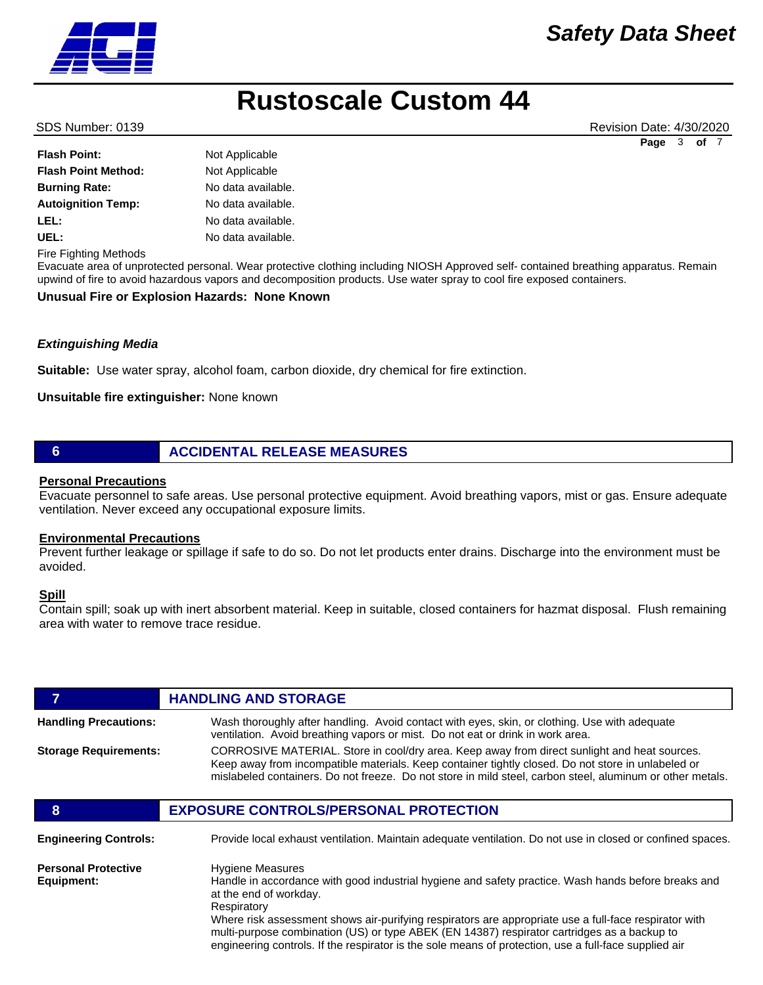SDS Number: 0139 Revision Date: 4/30/2020 **Page** 3 **of** 7

| <b>Flash Point:</b>        | Not Applicable     |
|----------------------------|--------------------|
| <b>Flash Point Method:</b> | Not Applicable     |
| <b>Burning Rate:</b>       | No data available. |
| <b>Autoignition Temp:</b>  | No data available. |
| LEL:                       | No data available. |
| UEL:                       | No data available. |
|                            |                    |

Fire Fighting Methods

Evacuate area of unprotected personal. Wear protective clothing including NIOSH Approved self- contained breathing apparatus. Remain upwind of fire to avoid hazardous vapors and decomposition products. Use water spray to cool fire exposed containers.

#### **Unusual Fire or Explosion Hazards: None Known**

#### *Extinguishing Media*

**Suitable:** Use water spray, alcohol foam, carbon dioxide, dry chemical for fire extinction.

#### **Unsuitable fire extinguisher:** None known

### **6 ACCIDENTAL RELEASE MEASURES**

### **Personal Precautions**

Evacuate personnel to safe areas. Use personal protective equipment. Avoid breathing vapors, mist or gas. Ensure adequate ventilation. Never exceed any occupational exposure limits.

#### **Environmental Precautions**

Prevent further leakage or spillage if safe to do so. Do not let products enter drains. Discharge into the environment must be avoided.

#### **Spill**

Contain spill; soak up with inert absorbent material. Keep in suitable, closed containers for hazmat disposal. Flush remaining area with water to remove trace residue.

| 7                                        | <b>HANDLING AND STORAGE</b>                                                                                                                                                                                                                                                                                                                                                                                                                                                              |
|------------------------------------------|------------------------------------------------------------------------------------------------------------------------------------------------------------------------------------------------------------------------------------------------------------------------------------------------------------------------------------------------------------------------------------------------------------------------------------------------------------------------------------------|
| <b>Handling Precautions:</b>             | Wash thoroughly after handling. Avoid contact with eyes, skin, or clothing. Use with adequate<br>ventilation. Avoid breathing vapors or mist. Do not eat or drink in work area.                                                                                                                                                                                                                                                                                                          |
| <b>Storage Requirements:</b>             | CORROSIVE MATERIAL. Store in cool/dry area. Keep away from direct sunlight and heat sources.<br>Keep away from incompatible materials. Keep container tightly closed. Do not store in unlabeled or<br>mislabeled containers. Do not freeze. Do not store in mild steel, carbon steel, aluminum or other metals.                                                                                                                                                                          |
| 8                                        | <b>EXPOSURE CONTROLS/PERSONAL PROTECTION</b>                                                                                                                                                                                                                                                                                                                                                                                                                                             |
| <b>Engineering Controls:</b>             | Provide local exhaust ventilation. Maintain adequate ventilation. Do not use in closed or confined spaces.                                                                                                                                                                                                                                                                                                                                                                               |
| <b>Personal Protective</b><br>Equipment: | <b>Hygiene Measures</b><br>Handle in accordance with good industrial hygiene and safety practice. Wash hands before breaks and<br>at the end of workday.<br>Respiratory<br>Where risk assessment shows air-purifying respirators are appropriate use a full-face respirator with<br>multi-purpose combination (US) or type ABEK (EN 14387) respirator cartridges as a backup to<br>engineering controls. If the respirator is the sole means of protection, use a full-face supplied air |

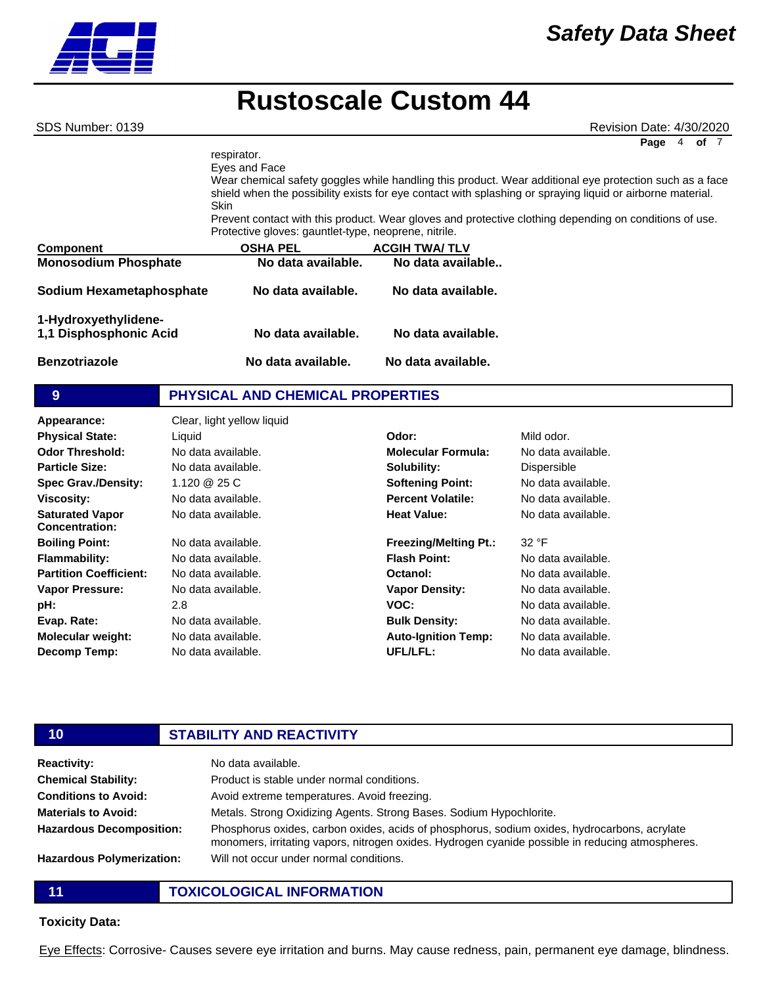**Component Component COSHA PEL ACGIH TWA/ TLV Monosodium Phosphate Mo data available. No data available.. Sodium Hexametaphosphate No data available. No data available. 1-Hydroxyethylidene-1,1 Disphosphonic Acid No data available. No data available. Benzotriazole No data available. No data available.** respirator. Eyes and Face Wear chemical safety goggles while handling this product. Wear additional eye protection such as a face shield when the possibility exists for eye contact with splashing or spraying liquid or airborne material. Skin Prevent contact with this product. Wear gloves and protective clothing depending on conditions of use. Protective gloves: gauntlet-type, neoprene, nitrile. SDS Number: 0139 Revision Date: 4/30/2020 Page 4 of

|  | PHYSICAL AND CHEMICAL PROPERTIES |  |  |
|--|----------------------------------|--|--|
|--|----------------------------------|--|--|

| Clear, light yellow liquid |                              |            |
|----------------------------|------------------------------|------------|
| Liquid                     | Odor:                        | Mild odor. |
| No data available.         | <b>Molecular Formula:</b>    | No data a  |
| No data available.         | Solubility:                  | Dispersibl |
| 1.120 $@25C$               | <b>Softening Point:</b>      | No data a  |
| No data available.         | <b>Percent Volatile:</b>     | No data a  |
| No data available.         | <b>Heat Value:</b>           | No data a  |
| No data available.         | <b>Freezing/Melting Pt.:</b> | 32 °F      |
| No data available.         | <b>Flash Point:</b>          | No data a  |
| No data available.         | Octanol:                     | No data a  |
| No data available.         | <b>Vapor Density:</b>        | No data a  |
| 2.8                        | VOC:                         | No data a  |
| No data available.         | <b>Bulk Density:</b>         | No data a  |
| No data available.         | <b>Auto-Ignition Temp:</b>   | No data a  |
| No data available.         | UFL/LFL:                     | No data a  |
|                            |                              |            |

#### **Molecular Formula:** No data available. **Solubility: Softening Point: Percent Volatile: Heat Value: Freezing/Melting Pt.: Flash Point: Octanol: Vapor Density: VOC: Bulk Density: Auto-Ignition Temp:** Dispersible No data available. No data available. No data available. 32 °F No data available. No data available. No data available. No data available. No data available. No data available.

No data available.

### **10 STABILITY AND REACTIVITY Reactivity:** No data available. **Chemical Stability: Conditions to Avoid: Materials to Avoid: Hazardous Decomposition:** Product is stable under normal conditions. Avoid extreme temperatures. Avoid freezing. Metals. Strong Oxidizing Agents. Strong Bases. Sodium Hypochlorite. Phosphorus oxides, carbon oxides, acids of phosphorus, sodium oxides, hydrocarbons, acrylate monomers, irritating vapors, nitrogen oxides. Hydrogen cyanide possible in reducing atmospheres. Will not occur under normal conditions.

**Hazardous Polymerization:**

**11 TOXICOLOGICAL INFORMATION**

### **Toxicity Data:**

Eye Effects: Corrosive- Causes severe eye irritation and burns. May cause redness, pain, permanent eye damage, blindness.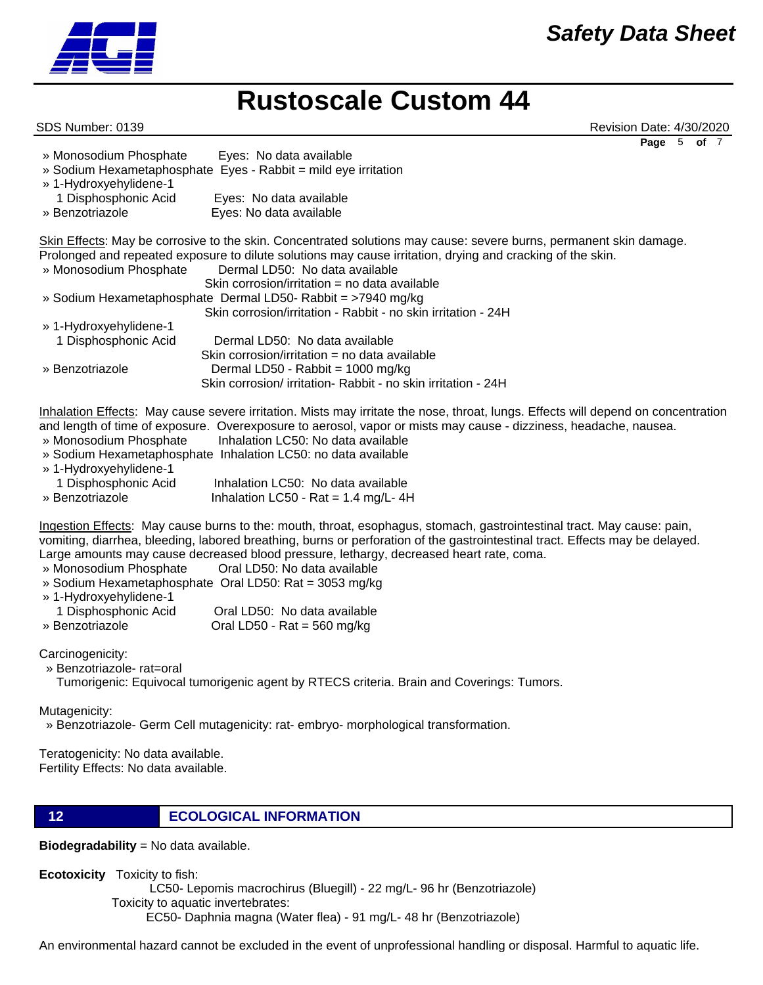

SDS Number: 0139 Revision Date: 4/30/2020 **Page** 5 **of** 7

| » Monosodium Phosphate | Eyes: No data available<br>» Sodium Hexametaphosphate Eyes - Rabbit = mild eye irritation |
|------------------------|-------------------------------------------------------------------------------------------|
| » 1-Hydroxyehylidene-1 |                                                                                           |
| 1 Disphosphonic Acid   | Eyes: No data available                                                                   |
| » Benzotriazole        | Eyes: No data available                                                                   |

Skin Effects: May be corrosive to the skin. Concentrated solutions may cause: severe burns, permanent skin damage. Prolonged and repeated exposure to dilute solutions may cause irritation, drying and cracking of the skin.

| » Monosodium Phosphate | Dermal LD50: No data available                                |  |
|------------------------|---------------------------------------------------------------|--|
|                        | Skin corrosion/irritation = no data available                 |  |
|                        | » Sodium Hexametaphosphate Dermal LD50- Rabbit = >7940 mg/kg  |  |
|                        | Skin corrosion/irritation - Rabbit - no skin irritation - 24H |  |
| » 1-Hydroxyehylidene-1 |                                                               |  |
| 1 Disphosphonic Acid   | Dermal LD50: No data available                                |  |
|                        | Skin corrosion/irritation = no data available                 |  |
| » Benzotriazole        | Dermal LD50 - Rabbit = 1000 mg/kg                             |  |
|                        | Skin corrosion/ irritation- Rabbit - no skin irritation - 24H |  |

Inhalation Effects: May cause severe irritation. Mists may irritate the nose, throat, lungs. Effects will depend on concentration and length of time of exposure. Overexposure to aerosol, vapor or mists may cause - dizziness, headache, nausea.

- » Monosodium Phosphate Inhalation LC50: No data available
- » Sodium Hexametaphosphate Inhalation LC50: no data available
- » 1-Hydroxyehylidene-1 1 Disphosphonic Acid Inhalation LC50: No data available » Benzotriazole Inhalation LC50 - Rat = 1.4 mg/L-4H

Ingestion Effects: May cause burns to the: mouth, throat, esophagus, stomach, gastrointestinal tract. May cause: pain, vomiting, diarrhea, bleeding, labored breathing, burns or perforation of the gastrointestinal tract. Effects may be delayed. Large amounts may cause decreased blood pressure, lethargy, decreased heart rate, coma.

- » Monosodium Phosphate Oral LD50: No data available
- » Sodium Hexametaphosphate Oral LD50: Rat = 3053 mg/kg
- » 1-Hydroxyehylidene-1

| 1 Disphosphonic Acid | Oral LD50: No data available          |
|----------------------|---------------------------------------|
| » Benzotriazole      | Oral LD50 - Rat = $560 \text{ mg/kg}$ |

Carcinogenicity:

» Benzotriazole- rat=oral

Tumorigenic: Equivocal tumorigenic agent by RTECS criteria. Brain and Coverings: Tumors.

Mutagenicity:

» Benzotriazole- Germ Cell mutagenicity: rat- embryo- morphological transformation.

Teratogenicity: No data available. Fertility Effects: No data available.

**12 ECOLOGICAL INFORMATION** 

**Biodegradability** = No data available.

**Ecotoxicity** Toxicity to fish:

LC50- Lepomis macrochirus (Bluegill) - 22 mg/L- 96 hr (Benzotriazole)

Toxicity to aquatic invertebrates:

EC50- Daphnia magna (Water flea) - 91 mg/L- 48 hr (Benzotriazole)

An environmental hazard cannot be excluded in the event of unprofessional handling or disposal. Harmful to aquatic life.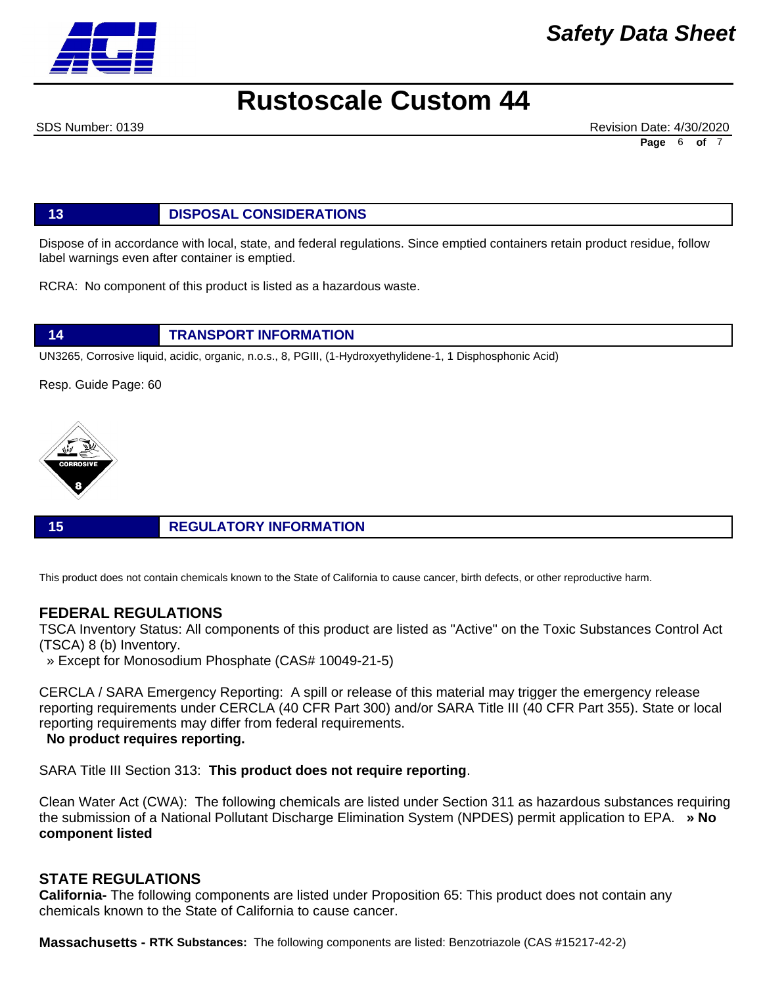

# *Safety Data Sheet*

# **Rustoscale Custom 44**

SDS Number: 0139 Revision Date: 4/30/2020 **Page** 6 **of** 7

**13 DISPOSAL CONSIDERATIONS**

Dispose of in accordance with local, state, and federal regulations. Since emptied containers retain product residue, follow label warnings even after container is emptied.

RCRA: No component of this product is listed as a hazardous waste.

**14 TRANSPORT INFORMATION**

UN3265, Corrosive liquid, acidic, organic, n.o.s., 8, PGIII, (1-Hydroxyethylidene-1, 1 Disphosphonic Acid)

Resp. Guide Page: 60



**15 REGULATORY INFORMATION**

This product does not contain chemicals known to the State of California to cause cancer, birth defects, or other reproductive harm.

# **FEDERAL REGULATIONS**

TSCA Inventory Status: All components of this product are listed as "Active" on the Toxic Substances Control Act (TSCA) 8 (b) Inventory.

» Except for Monosodium Phosphate (CAS# 10049-21-5)

CERCLA / SARA Emergency Reporting: A spill or release of this material may trigger the emergency release reporting requirements under CERCLA (40 CFR Part 300) and/or SARA Title III (40 CFR Part 355). State or local reporting requirements may differ from federal requirements.

### **No product requires reporting.**

SARA Title III Section 313: **This product does not require reporting**.

Clean Water Act (CWA): The following chemicals are listed under Section 311 as hazardous substances requiring the submission of a National Pollutant Discharge Elimination System (NPDES) permit application to EPA. **» No component listed**

# **STATE REGULATIONS**

**California-** The following components are listed under Proposition 65: This product does not contain any chemicals known to the State of California to cause cancer.

**Massachusetts - RTK Substances:** The following components are listed: Benzotriazole (CAS #15217-42-2)